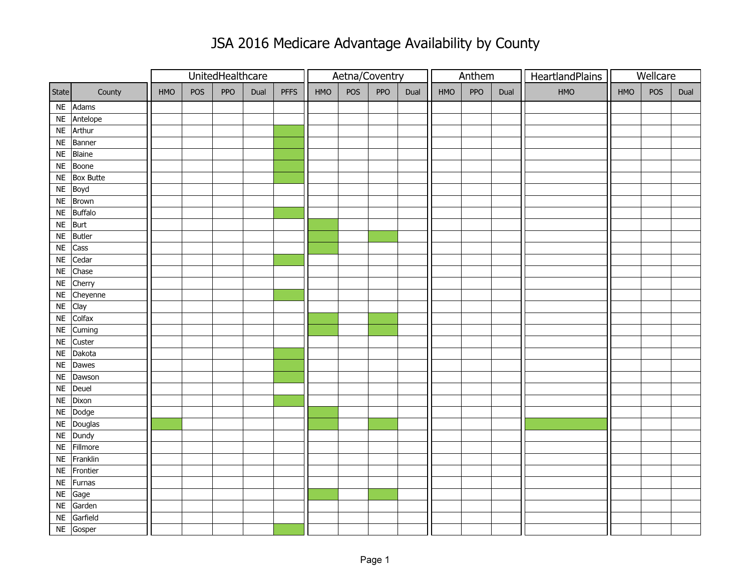## JSA 2016 Medicare Advantage Availability by County

|                       |     |     | UnitedHealthcare |      |             | Aetna/Coventry |     |     |      |     | Anthem |      | HeartlandPlains | Wellcare |     |      |
|-----------------------|-----|-----|------------------|------|-------------|----------------|-----|-----|------|-----|--------|------|-----------------|----------|-----|------|
| State<br>County       | HMO | POS | PPO              | Dual | <b>PFFS</b> | HMO            | POS | PPO | Dual | HMO | PPO    | Dual | HMO             | HMO      | POS | Dual |
| NE Adams              |     |     |                  |      |             |                |     |     |      |     |        |      |                 |          |     |      |
| Antelope<br>$\sf NE$  |     |     |                  |      |             |                |     |     |      |     |        |      |                 |          |     |      |
| NE Arthur             |     |     |                  |      |             |                |     |     |      |     |        |      |                 |          |     |      |
| Banner<br><b>NE</b>   |     |     |                  |      |             |                |     |     |      |     |        |      |                 |          |     |      |
| Blaine<br><b>NE</b>   |     |     |                  |      |             |                |     |     |      |     |        |      |                 |          |     |      |
| Boone<br><b>NE</b>    |     |     |                  |      |             |                |     |     |      |     |        |      |                 |          |     |      |
| $NE$ Box Butte        |     |     |                  |      |             |                |     |     |      |     |        |      |                 |          |     |      |
| NE Boyd               |     |     |                  |      |             |                |     |     |      |     |        |      |                 |          |     |      |
| Brown<br><b>NE</b>    |     |     |                  |      |             |                |     |     |      |     |        |      |                 |          |     |      |
| Buffalo<br><b>NE</b>  |     |     |                  |      |             |                |     |     |      |     |        |      |                 |          |     |      |
| NE Burt               |     |     |                  |      |             |                |     |     |      |     |        |      |                 |          |     |      |
| Butler<br><b>NE</b>   |     |     |                  |      |             |                |     |     |      |     |        |      |                 |          |     |      |
| Cass<br><b>NE</b>     |     |     |                  |      |             |                |     |     |      |     |        |      |                 |          |     |      |
| Cedar<br><b>NE</b>    |     |     |                  |      |             |                |     |     |      |     |        |      |                 |          |     |      |
| Chase<br><b>NE</b>    |     |     |                  |      |             |                |     |     |      |     |        |      |                 |          |     |      |
| Cherry<br><b>NE</b>   |     |     |                  |      |             |                |     |     |      |     |        |      |                 |          |     |      |
| Cheyenne<br>$\sf NE$  |     |     |                  |      |             |                |     |     |      |     |        |      |                 |          |     |      |
| Clay<br><b>NE</b>     |     |     |                  |      |             |                |     |     |      |     |        |      |                 |          |     |      |
| Colfax<br>$\sf NE$    |     |     |                  |      |             |                |     |     |      |     |        |      |                 |          |     |      |
| NE Cuming             |     |     |                  |      |             |                |     |     |      |     |        |      |                 |          |     |      |
| Custer<br><b>NE</b>   |     |     |                  |      |             |                |     |     |      |     |        |      |                 |          |     |      |
| Dakota<br>$\sf NE$    |     |     |                  |      |             |                |     |     |      |     |        |      |                 |          |     |      |
| Dawes<br>$\sf NE$     |     |     |                  |      |             |                |     |     |      |     |        |      |                 |          |     |      |
| Dawson<br>$\sf NE$    |     |     |                  |      |             |                |     |     |      |     |        |      |                 |          |     |      |
| Deuel<br>$\sf NE$     |     |     |                  |      |             |                |     |     |      |     |        |      |                 |          |     |      |
| Dixon<br>$\sf NE$     |     |     |                  |      |             |                |     |     |      |     |        |      |                 |          |     |      |
| NE Dodge              |     |     |                  |      |             |                |     |     |      |     |        |      |                 |          |     |      |
| NE Douglas            |     |     |                  |      |             |                |     |     |      |     |        |      |                 |          |     |      |
| Dundy<br><b>NE</b>    |     |     |                  |      |             |                |     |     |      |     |        |      |                 |          |     |      |
| Fillmore<br><b>NE</b> |     |     |                  |      |             |                |     |     |      |     |        |      |                 |          |     |      |
| Franklin<br><b>NE</b> |     |     |                  |      |             |                |     |     |      |     |        |      |                 |          |     |      |
| Frontier<br>$\sf NE$  |     |     |                  |      |             |                |     |     |      |     |        |      |                 |          |     |      |
| Furnas<br><b>NE</b>   |     |     |                  |      |             |                |     |     |      |     |        |      |                 |          |     |      |
| Gage<br>$\sf NE$      |     |     |                  |      |             |                |     |     |      |     |        |      |                 |          |     |      |
| Garden<br><b>NE</b>   |     |     |                  |      |             |                |     |     |      |     |        |      |                 |          |     |      |
| Garfield<br>$\sf NE$  |     |     |                  |      |             |                |     |     |      |     |        |      |                 |          |     |      |
| NE Gosper             |     |     |                  |      |             |                |     |     |      |     |        |      |                 |          |     |      |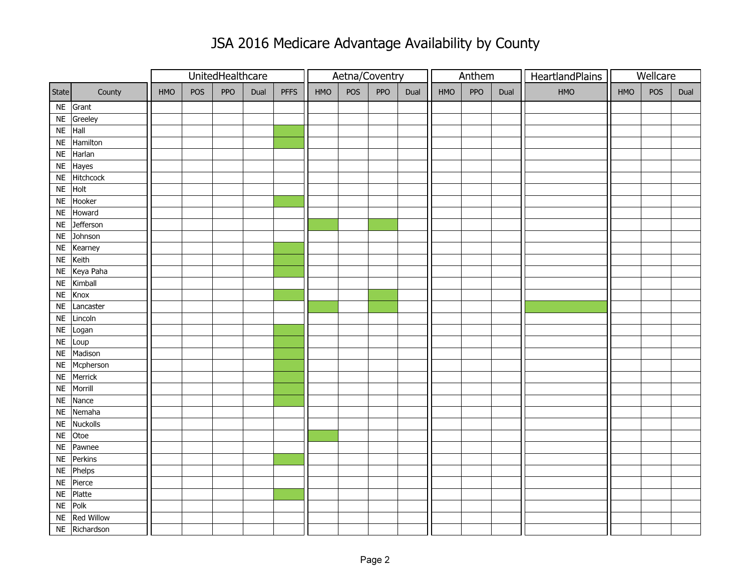## JSA 2016 Medicare Advantage Availability by County

|                                   |     |     | UnitedHealthcare |      |             | Aetna/Coventry |     |            |      |     | Anthem |      | HeartlandPlains | Wellcare |     |      |
|-----------------------------------|-----|-----|------------------|------|-------------|----------------|-----|------------|------|-----|--------|------|-----------------|----------|-----|------|
| State<br>County                   | HMO | POS | <b>PPO</b>       | Dual | <b>PFFS</b> | <b>HMO</b>     | POS | <b>PPO</b> | Dual | HMO | PPO    | Dual | HMO             | HMO      | POS | Dual |
| NE Grant                          |     |     |                  |      |             |                |     |            |      |     |        |      |                 |          |     |      |
| Greeley<br>$\sf NE$               |     |     |                  |      |             |                |     |            |      |     |        |      |                 |          |     |      |
| NE Hall                           |     |     |                  |      |             |                |     |            |      |     |        |      |                 |          |     |      |
| $\overline{\mathsf{NE}}$ Hamilton |     |     |                  |      |             |                |     |            |      |     |        |      |                 |          |     |      |
| Harlan<br><b>NE</b>               |     |     |                  |      |             |                |     |            |      |     |        |      |                 |          |     |      |
| Hayes<br><b>NE</b>                |     |     |                  |      |             |                |     |            |      |     |        |      |                 |          |     |      |
| Hitchcock<br><b>NE</b>            |     |     |                  |      |             |                |     |            |      |     |        |      |                 |          |     |      |
| Holt<br>NE                        |     |     |                  |      |             |                |     |            |      |     |        |      |                 |          |     |      |
| Hooker<br>$\sf NE$                |     |     |                  |      |             |                |     |            |      |     |        |      |                 |          |     |      |
| Howard<br><b>NE</b>               |     |     |                  |      |             |                |     |            |      |     |        |      |                 |          |     |      |
| Jefferson<br><b>NE</b>            |     |     |                  |      |             |                |     |            |      |     |        |      |                 |          |     |      |
| $NE$ Johnson                      |     |     |                  |      |             |                |     |            |      |     |        |      |                 |          |     |      |
| Kearney<br><b>NE</b>              |     |     |                  |      |             |                |     |            |      |     |        |      |                 |          |     |      |
| Keith<br>$\sf NE$                 |     |     |                  |      |             |                |     |            |      |     |        |      |                 |          |     |      |
| Keya Paha<br>$\sf NE$             |     |     |                  |      |             |                |     |            |      |     |        |      |                 |          |     |      |
| NE Kimball                        |     |     |                  |      |             |                |     |            |      |     |        |      |                 |          |     |      |
| Knox<br>$\sf NE$                  |     |     |                  |      |             |                |     |            |      |     |        |      |                 |          |     |      |
| Lancaster<br><b>NE</b>            |     |     |                  |      |             |                |     |            |      |     |        |      |                 |          |     |      |
| Lincoln<br>$\sf NE$               |     |     |                  |      |             |                |     |            |      |     |        |      |                 |          |     |      |
| Logan<br>$\sf NE$                 |     |     |                  |      |             |                |     |            |      |     |        |      |                 |          |     |      |
| Loup<br>$\sf NE$                  |     |     |                  |      |             |                |     |            |      |     |        |      |                 |          |     |      |
| Madison<br><b>NE</b>              |     |     |                  |      |             |                |     |            |      |     |        |      |                 |          |     |      |
| Mcpherson<br><b>NE</b>            |     |     |                  |      |             |                |     |            |      |     |        |      |                 |          |     |      |
| NE Merrick                        |     |     |                  |      |             |                |     |            |      |     |        |      |                 |          |     |      |
| Morrill<br><b>NE</b>              |     |     |                  |      |             |                |     |            |      |     |        |      |                 |          |     |      |
| Nance<br><b>NE</b>                |     |     |                  |      |             |                |     |            |      |     |        |      |                 |          |     |      |
| Nemaha<br><b>NE</b>               |     |     |                  |      |             |                |     |            |      |     |        |      |                 |          |     |      |
| Nuckolls<br><b>NE</b>             |     |     |                  |      |             |                |     |            |      |     |        |      |                 |          |     |      |
| Otoe<br><b>NE</b>                 |     |     |                  |      |             |                |     |            |      |     |        |      |                 |          |     |      |
| Pawnee<br><b>NE</b>               |     |     |                  |      |             |                |     |            |      |     |        |      |                 |          |     |      |
| Perkins<br>$\sf NE$               |     |     |                  |      |             |                |     |            |      |     |        |      |                 |          |     |      |
| NE Phelps                         |     |     |                  |      |             |                |     |            |      |     |        |      |                 |          |     |      |
| Pierce<br><b>NE</b>               |     |     |                  |      |             |                |     |            |      |     |        |      |                 |          |     |      |
| Platte<br>$\sf NE$                |     |     |                  |      |             |                |     |            |      |     |        |      |                 |          |     |      |
| NE Polk                           |     |     |                  |      |             |                |     |            |      |     |        |      |                 |          |     |      |
| <b>Red Willow</b><br><b>NE</b>    |     |     |                  |      |             |                |     |            |      |     |        |      |                 |          |     |      |
| NE Richardson                     |     |     |                  |      |             |                |     |            |      |     |        |      |                 |          |     |      |